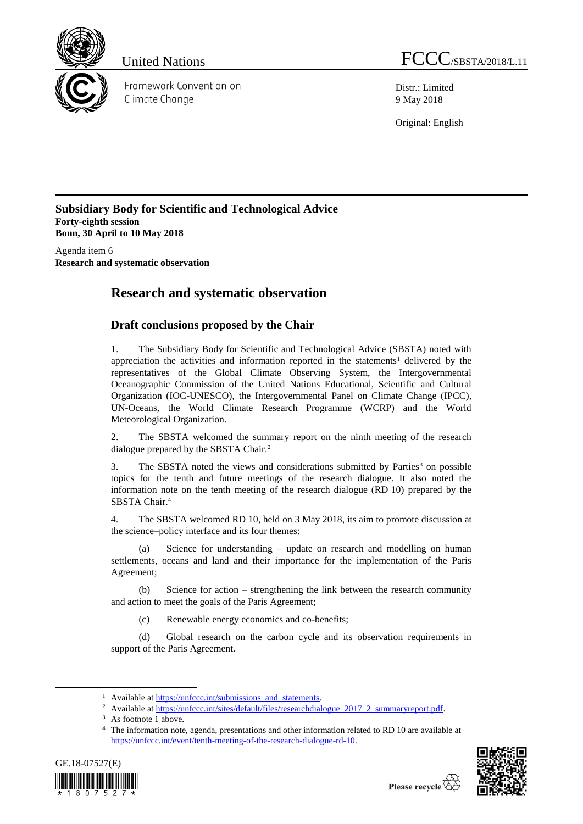

Framework Convention on Climate Chanae

United Nations FCCC/SBSTA/2018/L.11

Distr.: Limited 9 May 2018

Original: English

**Subsidiary Body for Scientific and Technological Advice Forty-eighth session Bonn, 30 April to 10 May 2018**

Agenda item 6 **Research and systematic observation**

## **Research and systematic observation**

## **Draft conclusions proposed by the Chair**

1. The Subsidiary Body for Scientific and Technological Advice (SBSTA) noted with appreciation the activities and information reported in the statements<sup>1</sup> delivered by the representatives of the Global Climate Observing System, the Intergovernmental Oceanographic Commission of the United Nations Educational, Scientific and Cultural Organization (IOC-UNESCO), the Intergovernmental Panel on Climate Change (IPCC), UN-Oceans, the World Climate Research Programme (WCRP) and the World Meteorological Organization.

2. The SBSTA welcomed the summary report on the ninth meeting of the research dialogue prepared by the SBSTA Chair.<sup>2</sup>

3. The SBSTA noted the views and considerations submitted by Parties<sup>3</sup> on possible topics for the tenth and future meetings of the research dialogue. It also noted the information note on the tenth meeting of the research dialogue (RD 10) prepared by the SBSTA Chair. 4

4. The SBSTA welcomed RD 10, held on 3 May 2018, its aim to promote discussion at the science–policy interface and its four themes:

(a) Science for understanding – update on research and modelling on human settlements, oceans and land and their importance for the implementation of the Paris Agreement;

(b) Science for action – strengthening the link between the research community and action to meet the goals of the Paris Agreement;

(c) Renewable energy economics and co-benefits;

(d) Global research on the carbon cycle and its observation requirements in support of the Paris Agreement.

<sup>4</sup> The information note, agenda, presentations and other information related to RD 10 are available at [https://unfccc.int/event/tenth-meeting-of-the-research-dialogue-rd-10.](https://unfccc.int/event/tenth-meeting-of-the-research-dialogue-rd-10)



-



<sup>&</sup>lt;sup>1</sup> Available at https://unfccc.int/submissions\_and\_statements.

<sup>&</sup>lt;sup>2</sup> Available at [https://unfccc.int/sites/default/files/researchdialogue\\_2017\\_2\\_summaryreport.pdf.](https://unfccc.int/sites/default/files/researchdialogue_2017_2_summaryreport.pdf)

<sup>&</sup>lt;sup>3</sup> As footnote 1 above.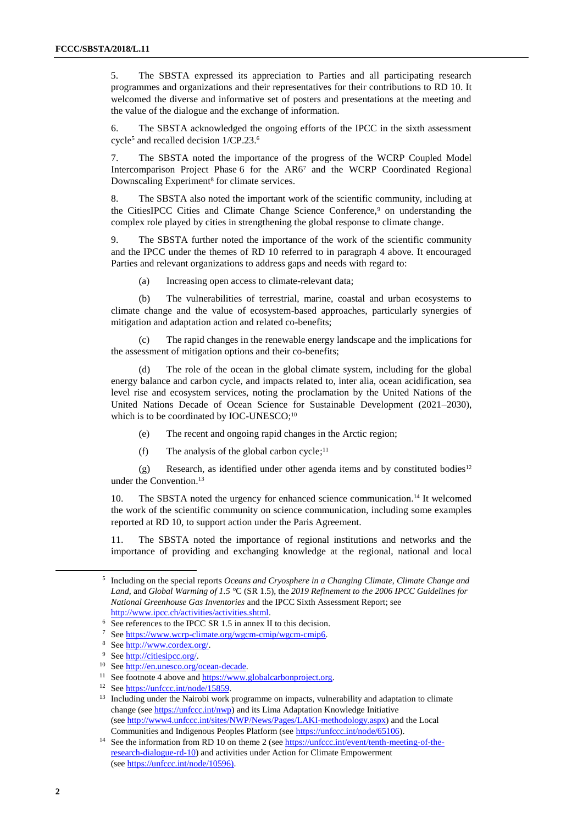5. The SBSTA expressed its appreciation to Parties and all participating research programmes and organizations and their representatives for their contributions to RD 10. It welcomed the diverse and informative set of posters and presentations at the meeting and the value of the dialogue and the exchange of information.

6. The SBSTA acknowledged the ongoing efforts of the IPCC in the sixth assessment cycle<sup>5</sup> and recalled decision 1/CP.23.<sup>6</sup>

7. The SBSTA noted the importance of the progress of the WCRP Coupled Model Intercomparison Project Phase 6 for the AR6<sup>7</sup> and the WCRP Coordinated Regional Downscaling Experiment<sup>8</sup> for climate services.

8. The SBSTA also noted the important work of the scientific community, including at the CitiesIPCC Cities and Climate Change Science Conference,<sup>9</sup> on understanding the complex role played by cities in strengthening the global response to climate change.

9. The SBSTA further noted the importance of the work of the scientific community and the IPCC under the themes of RD 10 referred to in paragraph 4 above. It encouraged Parties and relevant organizations to address gaps and needs with regard to:

(a) Increasing open access to climate-relevant data;

(b) The vulnerabilities of terrestrial, marine, coastal and urban ecosystems to climate change and the value of ecosystem-based approaches, particularly synergies of mitigation and adaptation action and related co-benefits;

(c) The rapid changes in the renewable energy landscape and the implications for the assessment of mitigation options and their co-benefits;

The role of the ocean in the global climate system, including for the global energy balance and carbon cycle, and impacts related to, inter alia, ocean acidification, sea level rise and ecosystem services, noting the proclamation by the United Nations of the United Nations Decade of Ocean Science for Sustainable Development (2021–2030), which is to be coordinated by IOC-UNESCO;<sup>10</sup>

- (e) The recent and ongoing rapid changes in the Arctic region;
- $(f)$  The analysis of the global carbon cycle;<sup>11</sup>

(g) Research, as identified under other agenda items and by constituted bodies<sup>12</sup> under the Convention. 13

10. The SBSTA noted the urgency for enhanced science communication.<sup>14</sup> It welcomed the work of the scientific community on science communication, including some examples reported at RD 10, to support action under the Paris Agreement.

11. The SBSTA noted the importance of regional institutions and networks and the importance of providing and exchanging knowledge at the regional, national and local

-

<sup>5</sup> Including on the special reports *Oceans and Cryosphere in a Changing Climate*, *Climate Change and Land*, and *Global Warming of 1.5 °*C (SR 1.5), the *2019 Refinement to the 2006 IPCC Guidelines for National Greenhouse Gas Inventories* and the IPCC Sixth Assessment Report; see [http://www.ipcc.ch/activities/activities.shtml.](http://www.ipcc.ch/activities/activities.shtml)

<sup>&</sup>lt;sup>6</sup> See references to the IPCC SR 1.5 in annex II to this decision.

See https://www.wcrp-climate.org/wgcm-cmip/wgcm-cmip6.

<sup>8</sup> Se[e http://www.cordex.org/.](http://www.cordex.org/)

<sup>&</sup>lt;sup>9</sup> Se[e http://citiesipcc.org/.](http://citiesipcc.org/)

<sup>&</sup>lt;sup>10</sup> Se[e http://en.unesco.org/ocean-decade.](http://en.unesco.org/ocean-decade)

<sup>&</sup>lt;sup>11</sup> See footnote 4 above an[d https://www.globalcarbonproject.org.](https://www.globalcarbonproject.org/)

<sup>&</sup>lt;sup>12</sup> See https://unfccc.int/node/15859.

<sup>&</sup>lt;sup>13</sup> Including under the Nairobi work programme on impacts, vulnerability and adaptation to climate change (see [https://unfccc.int/nwp\)](https://unfccc.int/nwp) and its Lima Adaptation Knowledge Initiative (see [http://www4.unfccc.int/sites/NWP/News/Pages/LAKI-methodology.aspx\)](http://www4.unfccc.int/sites/NWP/News/Pages/LAKI-methodology.aspx) and the Local Communities and Indigenous Peoples Platform (see [https://unfccc.int/node/65106\)](https://unfccc.int/node/65106).

<sup>&</sup>lt;sup>14</sup> See the information from RD 10 on theme 2 (se[e https://unfccc.int/event/tenth-meeting-of-the](https://unfccc.int/event/tenth-meeting-of-the-research-dialogue-rd-10)[research-dialogue-rd-10\)](https://unfccc.int/event/tenth-meeting-of-the-research-dialogue-rd-10) and activities under Action for Climate Empowerment (see [https://unfccc.int/node/10596\)](https://unfccc.int/node/10596).